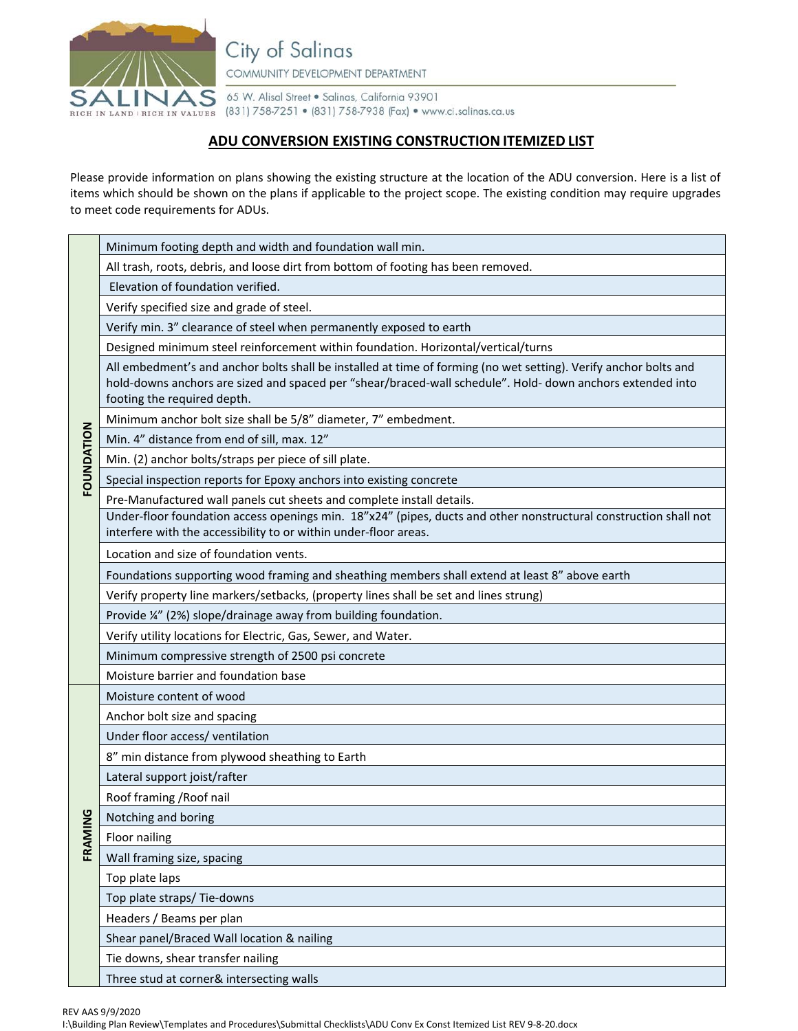

City of Salinas COMMUNITY DEVELOPMENT DEPARTMENT

65 W. Alisal Street . Salinas, California 93901 RICH IN LAND | RICH IN VALUES (831) 758-7251 • (831) 758-7938 (Fax) • www.ci.salinas.ca.us

## **ADU CONVERSION EXISTING CONSTRUCTION ITEMIZED LIST**

Please provide information on plans showing the existing structure at the location of the ADU conversion. Here is a list of items which should be shown on the plans if applicable to the project scope. The existing condition may require upgrades to meet code requirements for ADUs.

| FOUNDATION   | Minimum footing depth and width and foundation wall min.                                                                                                                                                                                                      |
|--------------|---------------------------------------------------------------------------------------------------------------------------------------------------------------------------------------------------------------------------------------------------------------|
|              | All trash, roots, debris, and loose dirt from bottom of footing has been removed.                                                                                                                                                                             |
|              | Elevation of foundation verified.                                                                                                                                                                                                                             |
|              | Verify specified size and grade of steel.                                                                                                                                                                                                                     |
|              | Verify min. 3" clearance of steel when permanently exposed to earth                                                                                                                                                                                           |
|              | Designed minimum steel reinforcement within foundation. Horizontal/vertical/turns                                                                                                                                                                             |
|              | All embedment's and anchor bolts shall be installed at time of forming (no wet setting). Verify anchor bolts and<br>hold-downs anchors are sized and spaced per "shear/braced-wall schedule". Hold- down anchors extended into<br>footing the required depth. |
|              | Minimum anchor bolt size shall be 5/8" diameter, 7" embedment.                                                                                                                                                                                                |
|              | Min. 4" distance from end of sill, max. 12"                                                                                                                                                                                                                   |
|              | Min. (2) anchor bolts/straps per piece of sill plate.                                                                                                                                                                                                         |
|              | Special inspection reports for Epoxy anchors into existing concrete                                                                                                                                                                                           |
|              | Pre-Manufactured wall panels cut sheets and complete install details.                                                                                                                                                                                         |
|              | Under-floor foundation access openings min. 18"x24" (pipes, ducts and other nonstructural construction shall not<br>interfere with the accessibility to or within under-floor areas.                                                                          |
|              | Location and size of foundation vents.                                                                                                                                                                                                                        |
|              | Foundations supporting wood framing and sheathing members shall extend at least 8" above earth                                                                                                                                                                |
|              | Verify property line markers/setbacks, (property lines shall be set and lines strung)                                                                                                                                                                         |
|              | Provide ¼" (2%) slope/drainage away from building foundation.                                                                                                                                                                                                 |
|              | Verify utility locations for Electric, Gas, Sewer, and Water.                                                                                                                                                                                                 |
|              | Minimum compressive strength of 2500 psi concrete                                                                                                                                                                                                             |
|              | Moisture barrier and foundation base                                                                                                                                                                                                                          |
|              | Moisture content of wood                                                                                                                                                                                                                                      |
|              | Anchor bolt size and spacing                                                                                                                                                                                                                                  |
|              | Under floor access/ ventilation                                                                                                                                                                                                                               |
|              | 8" min distance from plywood sheathing to Earth                                                                                                                                                                                                               |
|              | Lateral support joist/rafter                                                                                                                                                                                                                                  |
|              | Roof framing / Roof nail                                                                                                                                                                                                                                      |
| $\mathbf{Q}$ | Notching and boring                                                                                                                                                                                                                                           |
| FRAMIN       | Floor nailing                                                                                                                                                                                                                                                 |
|              | Wall framing size, spacing                                                                                                                                                                                                                                    |
|              | Top plate laps                                                                                                                                                                                                                                                |
|              | Top plate straps/ Tie-downs                                                                                                                                                                                                                                   |
|              | Headers / Beams per plan                                                                                                                                                                                                                                      |
|              | Shear panel/Braced Wall location & nailing                                                                                                                                                                                                                    |
|              | Tie downs, shear transfer nailing                                                                                                                                                                                                                             |
|              | Three stud at corner& intersecting walls                                                                                                                                                                                                                      |

REV AAS 9/9/2020

I:\Building Plan Review\Templates and Procedures\Submittal Checklists\ADU Conv Ex Const Itemized List REV 9-8-20.docx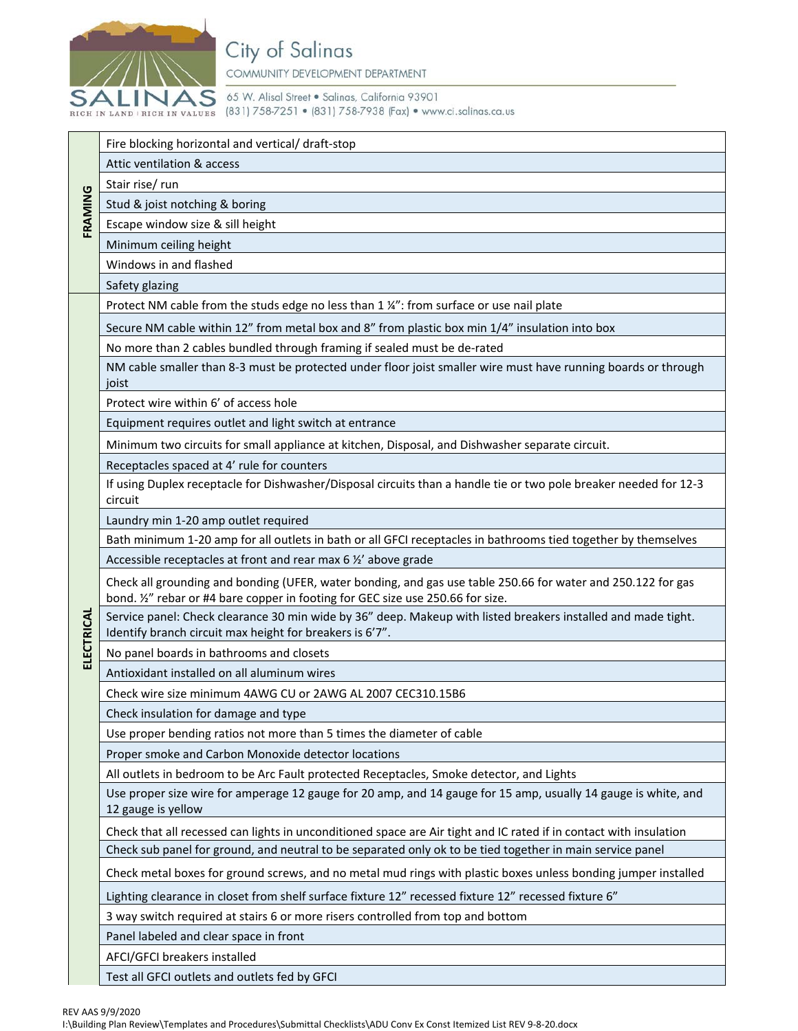

65 W. Alisal Street . Salinas, California 93901 RICH IN LAND | RICH IN VALUES (831) 758-7251 • (831) 758-7938 (Fax) • www.ci.salinas.ca.us

|            | Fire blocking horizontal and vertical/ draft-stop                                                                                                                                               |
|------------|-------------------------------------------------------------------------------------------------------------------------------------------------------------------------------------------------|
|            | Attic ventilation & access                                                                                                                                                                      |
| FRAMING    | Stair rise/ run                                                                                                                                                                                 |
|            | Stud & joist notching & boring                                                                                                                                                                  |
|            | Escape window size & sill height                                                                                                                                                                |
|            | Minimum ceiling height                                                                                                                                                                          |
|            | Windows in and flashed                                                                                                                                                                          |
|            | Safety glazing                                                                                                                                                                                  |
|            | Protect NM cable from the studs edge no less than 1 1/4": from surface or use nail plate                                                                                                        |
|            | Secure NM cable within 12" from metal box and 8" from plastic box min 1/4" insulation into box                                                                                                  |
|            | No more than 2 cables bundled through framing if sealed must be de-rated                                                                                                                        |
|            | NM cable smaller than 8-3 must be protected under floor joist smaller wire must have running boards or through<br>joist                                                                         |
|            | Protect wire within 6' of access hole                                                                                                                                                           |
|            | Equipment requires outlet and light switch at entrance                                                                                                                                          |
|            | Minimum two circuits for small appliance at kitchen, Disposal, and Dishwasher separate circuit.                                                                                                 |
|            | Receptacles spaced at 4' rule for counters                                                                                                                                                      |
|            | If using Duplex receptacle for Dishwasher/Disposal circuits than a handle tie or two pole breaker needed for 12-3<br>circuit                                                                    |
|            | Laundry min 1-20 amp outlet required                                                                                                                                                            |
|            | Bath minimum 1-20 amp for all outlets in bath or all GFCI receptacles in bathrooms tied together by themselves                                                                                  |
|            | Accessible receptacles at front and rear max 6 1/2' above grade                                                                                                                                 |
|            | Check all grounding and bonding (UFER, water bonding, and gas use table 250.66 for water and 250.122 for gas<br>bond. 1/2" rebar or #4 bare copper in footing for GEC size use 250.66 for size. |
| ELECTRICAL | Service panel: Check clearance 30 min wide by 36" deep. Makeup with listed breakers installed and made tight.<br>Identify branch circuit max height for breakers is 6'7".                       |
|            | No panel boards in bathrooms and closets                                                                                                                                                        |
|            | Antioxidant installed on all aluminum wires                                                                                                                                                     |
|            | Check wire size minimum 4AWG CU or 2AWG AL 2007 CEC310.15B6                                                                                                                                     |
|            | Check insulation for damage and type                                                                                                                                                            |
|            | Use proper bending ratios not more than 5 times the diameter of cable                                                                                                                           |
|            | Proper smoke and Carbon Monoxide detector locations                                                                                                                                             |
|            | All outlets in bedroom to be Arc Fault protected Receptacles, Smoke detector, and Lights                                                                                                        |
|            | Use proper size wire for amperage 12 gauge for 20 amp, and 14 gauge for 15 amp, usually 14 gauge is white, and<br>12 gauge is yellow                                                            |
|            | Check that all recessed can lights in unconditioned space are Air tight and IC rated if in contact with insulation                                                                              |
|            | Check sub panel for ground, and neutral to be separated only ok to be tied together in main service panel                                                                                       |
|            | Check metal boxes for ground screws, and no metal mud rings with plastic boxes unless bonding jumper installed                                                                                  |
|            | Lighting clearance in closet from shelf surface fixture 12" recessed fixture 12" recessed fixture 6"                                                                                            |
|            | 3 way switch required at stairs 6 or more risers controlled from top and bottom                                                                                                                 |
|            | Panel labeled and clear space in front                                                                                                                                                          |
|            | AFCI/GFCI breakers installed                                                                                                                                                                    |
|            | Test all GFCI outlets and outlets fed by GFCI                                                                                                                                                   |
|            |                                                                                                                                                                                                 |
|            | REV AAS 9/9/2020<br>I:\Building Plan Review\Templates and Procedures\Submittal Checklists\ADU Conv Ex Const Itemized List REV 9-8-20.docx                                                       |